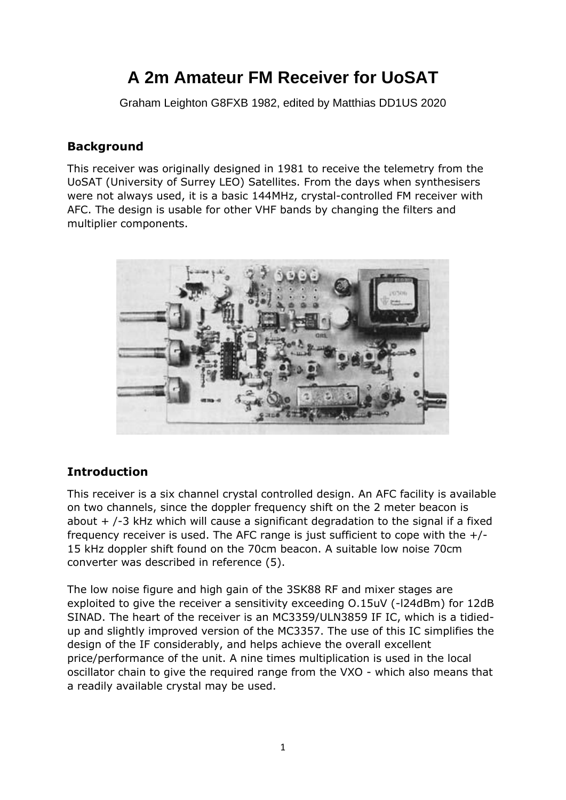# **A 2m Amateur FM Receiver for UoSAT**

Graham Leighton G8FXB 1982, edited by Matthias DD1US 2020

### **Background**

This receiver was originally designed in 1981 to receive the telemetry from the UoSAT (University of Surrey LEO) Satellites. From the days when synthesisers were not always used, it is a basic 144MHz, crystal-controlled FM receiver with AFC. The design is usable for other VHF bands by changing the filters and multiplier components.



# **Introduction**

This receiver is a six channel crystal controlled design. An AFC facility is available on two channels, since the doppler frequency shift on the 2 meter beacon is about  $+$  /-3 kHz which will cause a significant degradation to the signal if a fixed frequency receiver is used. The AFC range is just sufficient to cope with the  $+/-$ 15 kHz doppler shift found on the 70cm beacon. A suitable low noise 70cm converter was described in reference (5).

The low noise figure and high gain of the 3SK88 RF and mixer stages are exploited to give the receiver a sensitivity exceeding O.15uV (-l24dBm) for 12dB SINAD. The heart of the receiver is an MC3359/ULN3859 IF IC, which is a tidiedup and slightly improved version of the MC3357. The use of this IC simplifies the design of the IF considerably, and helps achieve the overall excellent price/performance of the unit. A nine times multiplication is used in the local oscillator chain to give the required range from the VXO - which also means that a readily available crystal may be used.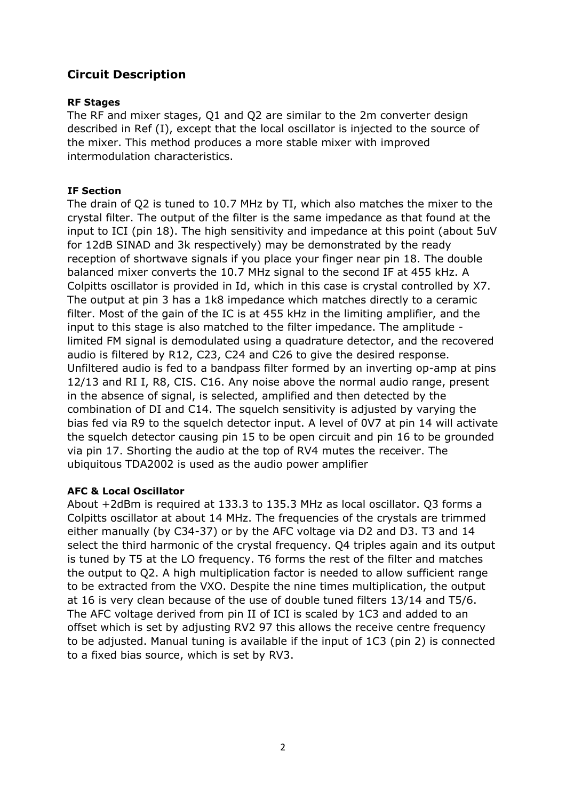# **Circuit Description**

#### **RF Stages**

The RF and mixer stages, Q1 and Q2 are similar to the 2m converter design described in Ref (I), except that the local oscillator is injected to the source of the mixer. This method produces a more stable mixer with improved intermodulation characteristics.

### **IF Section**

The drain of Q2 is tuned to 10.7 MHz by TI, which also matches the mixer to the crystal filter. The output of the filter is the same impedance as that found at the input to ICI (pin 18). The high sensitivity and impedance at this point (about 5uV for 12dB SINAD and 3k respectively) may be demonstrated by the ready reception of shortwave signals if you place your finger near pin 18. The double balanced mixer converts the 10.7 MHz signal to the second IF at 455 kHz. A Colpitts oscillator is provided in Id, which in this case is crystal controlled by X7. The output at pin 3 has a 1k8 impedance which matches directly to a ceramic filter. Most of the gain of the IC is at 455 kHz in the limiting amplifier, and the input to this stage is also matched to the filter impedance. The amplitude limited FM signal is demodulated using a quadrature detector, and the recovered audio is filtered by R12, C23, C24 and C26 to give the desired response. Unfiltered audio is fed to a bandpass filter formed by an inverting op-amp at pins 12/13 and RI I, R8, CIS. C16. Any noise above the normal audio range, present in the absence of signal, is selected, amplified and then detected by the combination of DI and C14. The squelch sensitivity is adjusted by varying the bias fed via R9 to the squelch detector input. A level of 0V7 at pin 14 will activate the squelch detector causing pin 15 to be open circuit and pin 16 to be grounded via pin 17. Shorting the audio at the top of RV4 mutes the receiver. The ubiquitous TDA2002 is used as the audio power amplifier

#### **AFC & Local Oscillator**

About +2dBm is required at 133.3 to 135.3 MHz as local oscillator. Q3 forms a Colpitts oscillator at about 14 MHz. The frequencies of the crystals are trimmed either manually (by C34-37) or by the AFC voltage via D2 and D3. T3 and 14 select the third harmonic of the crystal frequency. Q4 triples again and its output is tuned by T5 at the LO frequency. T6 forms the rest of the filter and matches the output to Q2. A high multiplication factor is needed to allow sufficient range to be extracted from the VXO. Despite the nine times multiplication, the output at 16 is very clean because of the use of double tuned filters 13/14 and T5/6. The AFC voltage derived from pin II of ICI is scaled by 1C3 and added to an offset which is set by adjusting RV2 97 this allows the receive centre frequency to be adjusted. Manual tuning is available if the input of 1C3 (pin 2) is connected to a fixed bias source, which is set by RV3.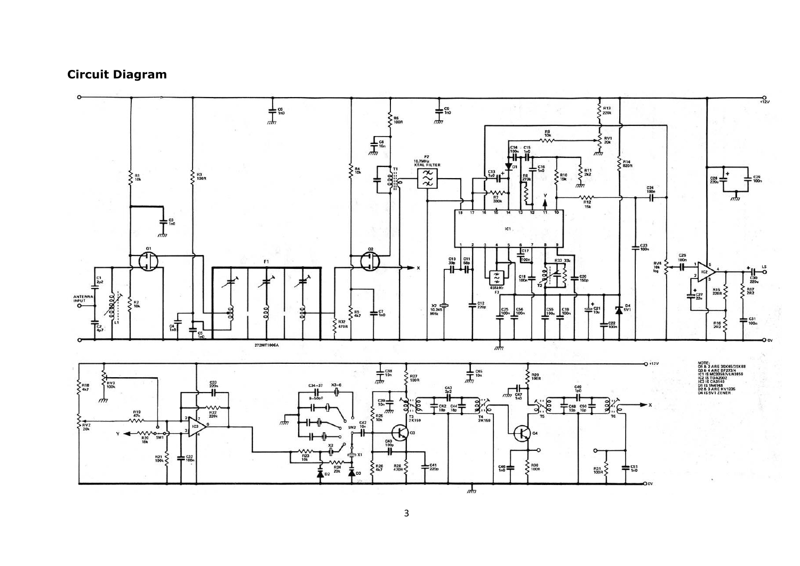# **Circuit Diagram**

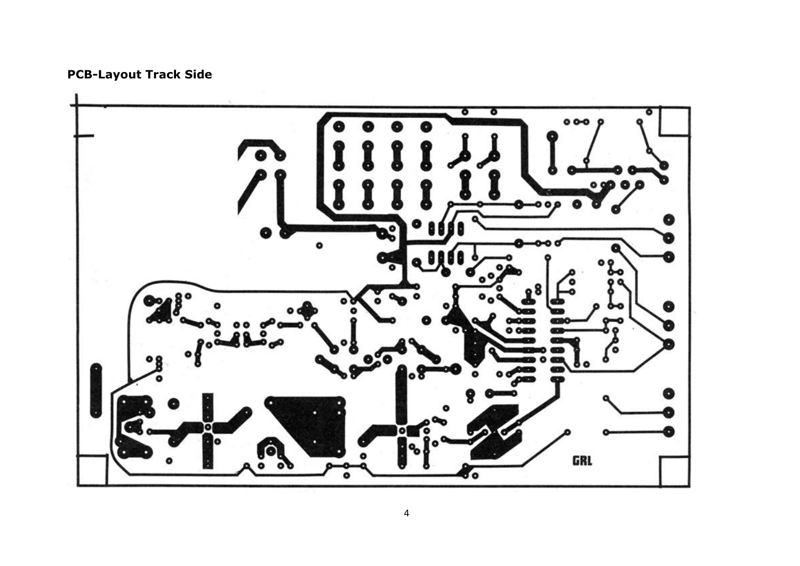**PCB-Layout Track Side**

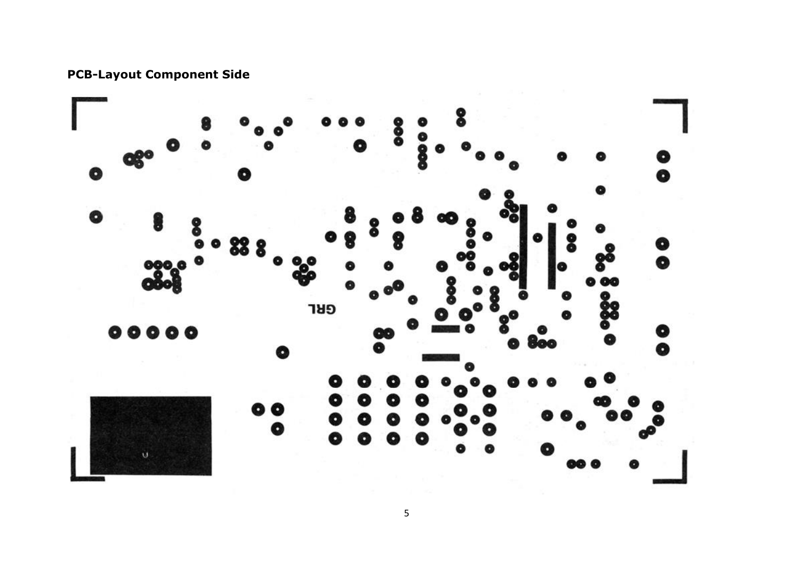



5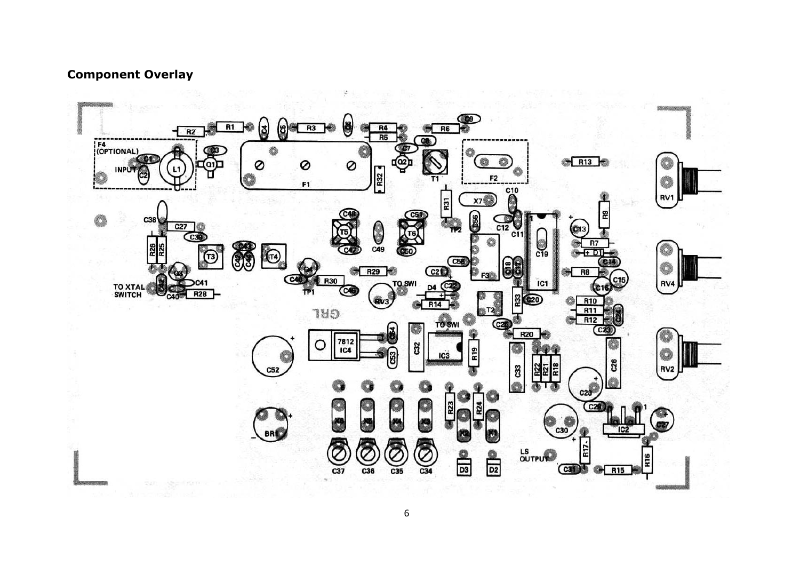# **Component Overlay**



6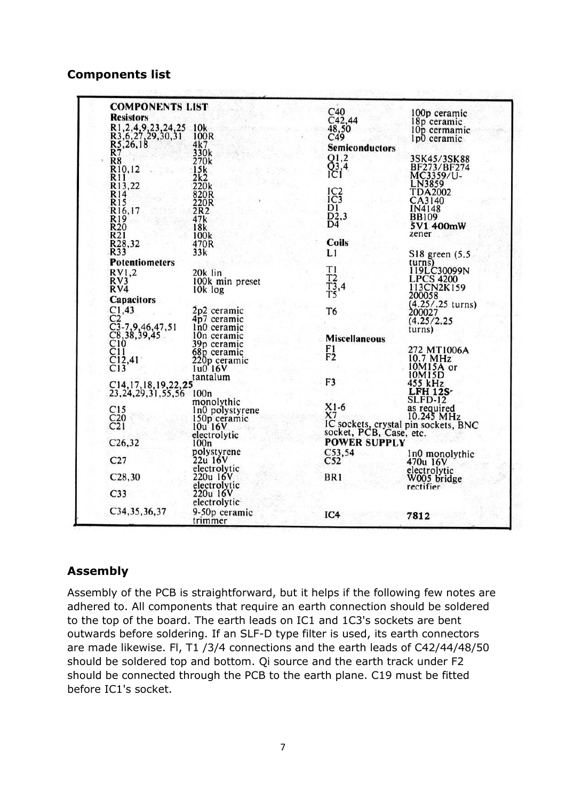#### **Components list**

| <b>COMPONENTS LIST</b>                                               |                         | C40                                                                                       | 100p ceramic                                                    |
|----------------------------------------------------------------------|-------------------------|-------------------------------------------------------------------------------------------|-----------------------------------------------------------------|
| <b>Resistors</b>                                                     |                         | $C_{42,44}$                                                                               | 18p ceramic                                                     |
| R1, 2, 4, 9, 23, 24, 25<br>R3, 6, 27, 29, 30, 31<br>R5, 26, 18<br>R7 | 10k                     | 48,50                                                                                     | 10p cermamic                                                    |
|                                                                      | 100R                    | C49                                                                                       | 1p0 ceramic                                                     |
|                                                                      | 4k7                     | <b>Semiconductors</b>                                                                     |                                                                 |
|                                                                      | 330k                    |                                                                                           |                                                                 |
| R8                                                                   | 270k                    | $^{Q1,2}_{Q3,4}$                                                                          | 3SK45/3SK88<br>BF273/BF274                                      |
| R <sub>10</sub> ,12                                                  | 15k                     |                                                                                           |                                                                 |
|                                                                      | 2k2                     |                                                                                           | MC3359/U-                                                       |
| R <sub>11</sub><br>R <sub>13</sub> ,22                               | 220k                    |                                                                                           | LN3859                                                          |
|                                                                      | 820R                    | $_{1C3}^{1C2}$                                                                            | <b>TDA2002</b>                                                  |
| $R14$<br>$R15$<br>$R16,17$                                           | 220R                    |                                                                                           | CA3140                                                          |
|                                                                      | 2R2                     | D1                                                                                        | IN4148                                                          |
| R <sub>19</sub>                                                      | 47k                     | D2,3                                                                                      | <b>BB109</b>                                                    |
| R <sub>20</sub>                                                      | 18k                     | D <sub>4</sub>                                                                            | 5V1 400mW                                                       |
| R <sub>21</sub>                                                      | 100k                    |                                                                                           | zener                                                           |
| R <sub>28</sub> ,32                                                  | 470R                    | <b>Coils</b>                                                                              |                                                                 |
| R33                                                                  | 33k                     | L1                                                                                        | S18 green (5.5                                                  |
| <b>Potentiometers</b>                                                |                         |                                                                                           | turns)                                                          |
| RV1,2                                                                | 20k lin                 | $\begin{array}{c} \mathbf{T1} \\ \mathbf{T2} \\ \mathbf{T3,4} \\ \mathbf{T5} \end{array}$ | 119LC30099N                                                     |
| RV3                                                                  | 100k min preset         |                                                                                           | LPCS 4200                                                       |
| RV4                                                                  | 10k log                 |                                                                                           |                                                                 |
|                                                                      |                         |                                                                                           | 200058                                                          |
| <b>Capacitors</b>                                                    |                         |                                                                                           | (4.25/.25 turns)                                                |
|                                                                      | 2p2 ceramic             | T <sub>6</sub>                                                                            | 200027                                                          |
| $C_2^{1,43}$                                                         | 4p7 ceramic             |                                                                                           | (4.25/2.25)                                                     |
| $C3-7,9,46,47,51$                                                    | In0 ceramic             |                                                                                           | turns)                                                          |
|                                                                      | 10n ceramic             | <b>Miscellaneous</b>                                                                      |                                                                 |
| $C_8, 38, 39, 45$<br>$C_{10}$<br>$C_{12}$ , 41                       | 39p ceramic             |                                                                                           |                                                                 |
|                                                                      | 68p ceramic             | $_{\rm F2}^{\rm F1}$                                                                      | 272 MT1006A                                                     |
|                                                                      |                         |                                                                                           | 10.7 MHz                                                        |
| C13                                                                  | 220p ceramic<br>1u0 16V |                                                                                           | 10M15A or                                                       |
|                                                                      | tantalum                |                                                                                           | 10M15D                                                          |
| C14, 17, 18, 19, 22, 25                                              |                         | F3                                                                                        | 455 kHz                                                         |
| 23, 24, 29, 31, 55, 56 100n                                          |                         |                                                                                           | <b>LFH 12S</b>                                                  |
|                                                                      | monolythic              |                                                                                           | <b>SLFD-12</b>                                                  |
| C15                                                                  | In0 polystyrene         | $_{X7}^{X1-6}$                                                                            | as required<br>10.245 MHz                                       |
| C <sub>20</sub>                                                      | 150p ceramic            |                                                                                           |                                                                 |
| C <sub>21</sub>                                                      | 10u 16V                 |                                                                                           |                                                                 |
|                                                                      | electrolytic            |                                                                                           | IC sockets, crystal pin sockets, BNC<br>socket, PCB, Case, etc. |
| C26,32                                                               | 100n                    | <b>POWER SUPPLY</b>                                                                       |                                                                 |
|                                                                      | polystyrene             |                                                                                           |                                                                 |
| C27                                                                  | 22u 16V                 | C53,54<br>C52                                                                             | In0 monolythic                                                  |
|                                                                      | electrolytic            |                                                                                           | 470u 16V                                                        |
| C28,30                                                               | 220u 16V                | BR <sub>1</sub>                                                                           | electrolytic                                                    |
|                                                                      | electrolytic            |                                                                                           | W005 bridge<br>rectifier                                        |
| C <sub>33</sub>                                                      | 220u 16V                |                                                                                           |                                                                 |
|                                                                      | electrolytic            |                                                                                           |                                                                 |
|                                                                      |                         |                                                                                           |                                                                 |
| C34, 35, 36, 37                                                      | 9-50p ceramic           | IC4                                                                                       | 7812                                                            |
|                                                                      | trimmer                 |                                                                                           |                                                                 |

### **Assembly**

Assembly of the PCB is straightforward, but it helps if the following few notes are adhered to. All components that require an earth connection should be soldered to the top of the board. The earth leads on IC1 and 1C3's sockets are bent outwards before soldering. If an SLF-D type filter is used, its earth connectors are made likewise. Fl, T1 /3/4 connections and the earth leads of C42/44/48/50 should be soldered top and bottom. Qi source and the earth track under F2 should be connected through the PCB to the earth plane. C19 must be fitted before IC1's socket.